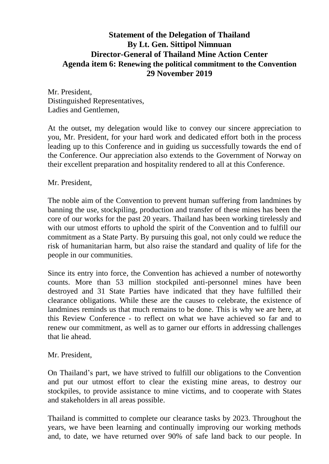## **Statement of the Delegation of Thailand By Lt. Gen. Sittipol Nimnuan Director-General of Thailand Mine Action Center Agenda item 6: Renewing the political commitment to the Convention 29 November 2019**

Mr. President, Distinguished Representatives, Ladies and Gentlemen,

At the outset, my delegation would like to convey our sincere appreciation to you, Mr. President, for your hard work and dedicated effort both in the process leading up to this Conference and in guiding us successfully towards the end of the Conference. Our appreciation also extends to the Government of Norway on their excellent preparation and hospitality rendered to all at this Conference.

## Mr. President,

The noble aim of the Convention to prevent human suffering from landmines by banning the use, stockpiling, production and transfer of these mines has been the core of our works for the past 20 years. Thailand has been working tirelessly and with our utmost efforts to uphold the spirit of the Convention and to fulfill our commitment as a State Party. By pursuing this goal, not only could we reduce the risk of humanitarian harm, but also raise the standard and quality of life for the people in our communities.

Since its entry into force, the Convention has achieved a number of noteworthy counts. More than 53 million stockpiled anti-personnel mines have been destroyed and 31 State Parties have indicated that they have fulfilled their clearance obligations. While these are the causes to celebrate, the existence of landmines reminds us that much remains to be done. This is why we are here, at this Review Conference - to reflect on what we have achieved so far and to renew our commitment, as well as to garner our efforts in addressing challenges that lie ahead.

## Mr. President,

On Thailand's part, we have strived to fulfill our obligations to the Convention and put our utmost effort to clear the existing mine areas, to destroy our stockpiles, to provide assistance to mine victims, and to cooperate with States and stakeholders in all areas possible.

Thailand is committed to complete our clearance tasks by 2023. Throughout the years, we have been learning and continually improving our working methods and, to date, we have returned over 90% of safe land back to our people. In